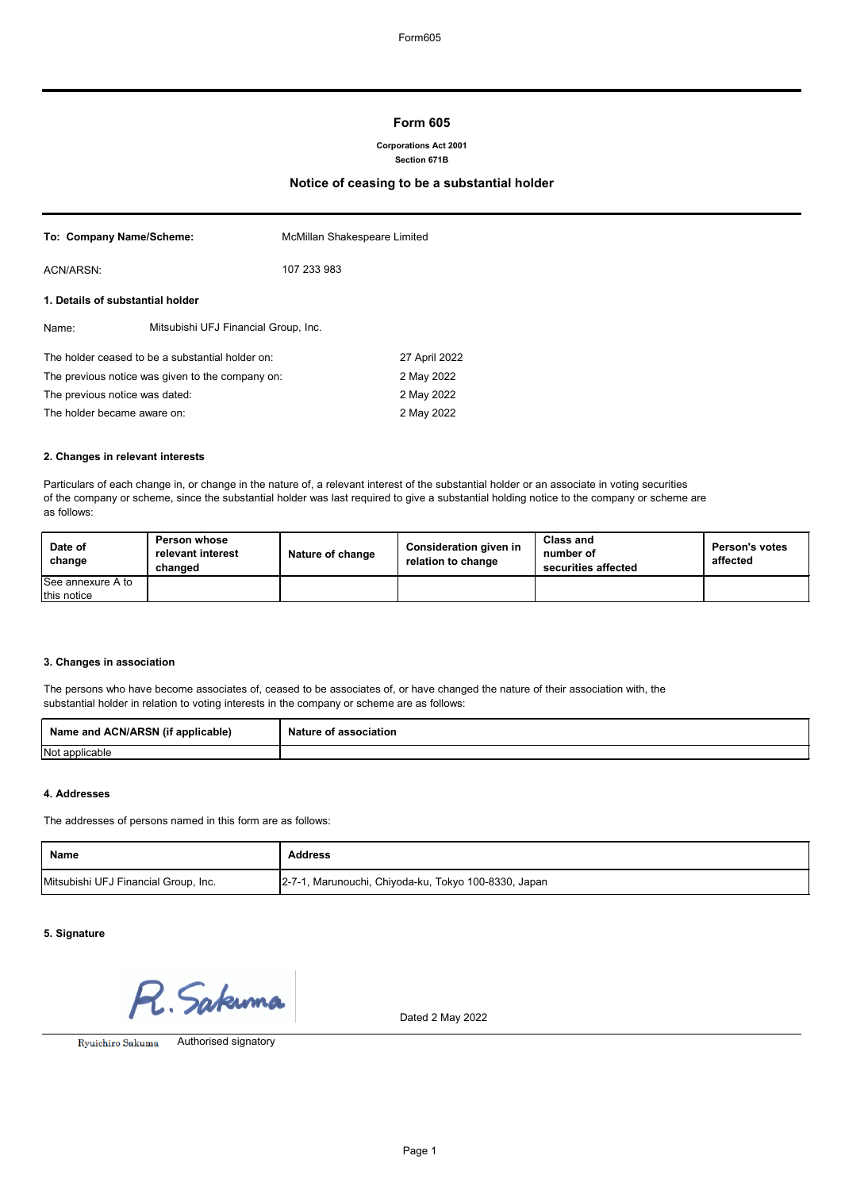# **Form 605**

#### **Corporations Act 2001 Section 671B**

# **Notice of ceasing to be a substantial holder**

| To: Company Name/Scheme:                         | McMillan Shakespeare Limited |  |
|--------------------------------------------------|------------------------------|--|
| ACN/ARSN:                                        | 107 233 983                  |  |
| 1. Details of substantial holder                 |                              |  |
| Mitsubishi UFJ Financial Group, Inc.<br>Name:    |                              |  |
| The holder ceased to be a substantial holder on: | 27 April 2022                |  |
| The previous notice was given to the company on: | 2 May 2022                   |  |
| The previous notice was dated:                   | 2 May 2022                   |  |
| The holder became aware on:                      | 2 May 2022                   |  |

#### **2. Changes in relevant interests**

Particulars of each change in, or change in the nature of, a relevant interest of the substantial holder or an associate in voting securities of the company or scheme, since the substantial holder was last required to give a substantial holding notice to the company or scheme are as follows:

| Date of<br>change  | <b>Person whose</b><br>relevant interest<br>changed | Nature of change | <b>Consideration given in</b><br>relation to change | <b>Class and</b><br>number of<br>securities affected | <b>Person's votes</b><br>affected |
|--------------------|-----------------------------------------------------|------------------|-----------------------------------------------------|------------------------------------------------------|-----------------------------------|
| ISee annexure A to |                                                     |                  |                                                     |                                                      |                                   |
| this notice        |                                                     |                  |                                                     |                                                      |                                   |

## **3. Changes in association**

The persons who have become associates of, ceased to be associates of, or have changed the nature of their association with, the substantial holder in relation to voting interests in the company or scheme are as follows:

| Name and ACN/ARSN (if applicable) | <b>Nature</b><br>$\cdot$ of association. |
|-----------------------------------|------------------------------------------|
| Not applicable                    |                                          |

## **4. Addresses**

The addresses of persons named in this form are as follows:

| <b>Name</b>                          | <b>Address</b>                                       |
|--------------------------------------|------------------------------------------------------|
| Mitsubishi UFJ Financial Group, Inc. | 2-7-1, Marunouchi, Chiyoda-ku, Tokyo 100-8330, Japan |

## **5. Signature**

R. Sakumo

Dated 2 May 2022

Ryuichiro Sakuma

Authorised signatory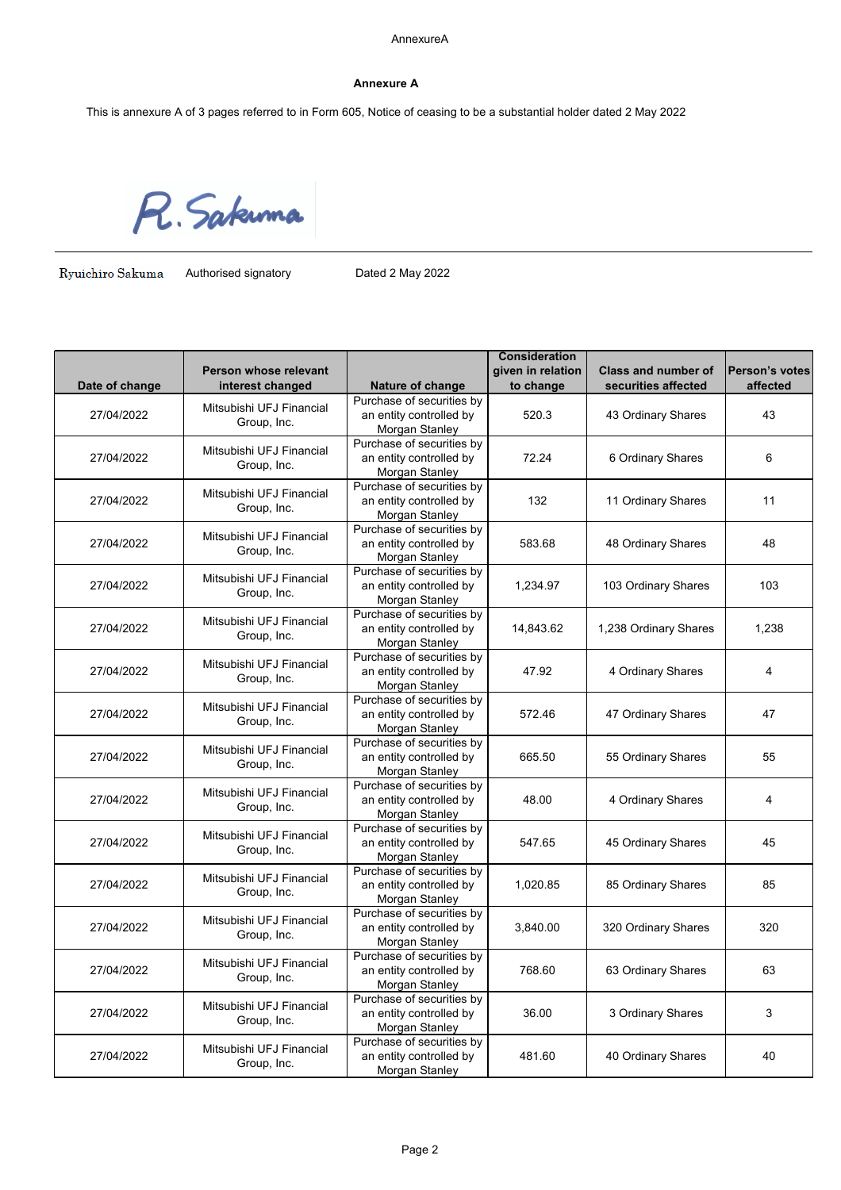## **Annexure A**

This is annexure A of 3 pages referred to in Form 605, Notice of ceasing to be a substantial holder dated 2 May 2022

R. Sakuma

Ryuichiro Sakuma

Authorised signatory **Dated 2 May 2022** 

| to change<br>Date of change<br>Nature of change<br>securities affected<br>interest changed<br>affected<br>Purchase of securities by<br>Mitsubishi UFJ Financial<br>an entity controlled by<br>520.3<br>27/04/2022<br>43 Ordinary Shares<br>43<br>Group, Inc.<br>Morgan Stanley<br>Purchase of securities by<br>Mitsubishi UFJ Financial<br>an entity controlled by<br>72.24<br>6 Ordinary Shares<br>6<br>27/04/2022<br>Group, Inc.<br>Morgan Stanley<br>Purchase of securities by<br>Mitsubishi UFJ Financial<br>an entity controlled by<br>27/04/2022<br>132<br>11 Ordinary Shares<br>11<br>Group, Inc.<br>Morgan Stanley<br>Purchase of securities by<br>Mitsubishi UFJ Financial<br>an entity controlled by<br>27/04/2022<br>48 Ordinary Shares<br>583.68<br>48<br>Group, Inc.<br>Morgan Stanley<br>Purchase of securities by<br>Mitsubishi UFJ Financial<br>an entity controlled by<br>27/04/2022<br>1,234.97<br>103 Ordinary Shares<br>103<br>Group, Inc.<br>Morgan Stanley<br>Purchase of securities by<br>Mitsubishi UFJ Financial<br>an entity controlled by<br>27/04/2022<br>14,843.62<br>1,238 Ordinary Shares<br>1,238<br>Group, Inc.<br>Morgan Stanley<br>Purchase of securities by<br>Mitsubishi UFJ Financial<br>27/04/2022<br>an entity controlled by<br>47.92<br>4 Ordinary Shares<br>4<br>Group, Inc.<br>Morgan Stanley<br>Purchase of securities by<br>Mitsubishi UFJ Financial<br>an entity controlled by<br>27/04/2022<br>572.46<br>47 Ordinary Shares<br>47<br>Group, Inc.<br>Morgan Stanley<br>Purchase of securities by<br>Mitsubishi UFJ Financial<br>an entity controlled by<br>27/04/2022<br>55 Ordinary Shares<br>665.50<br>55<br>Group, Inc.<br>Morgan Stanley<br>Purchase of securities by<br>Mitsubishi UFJ Financial<br>an entity controlled by<br>27/04/2022<br>4 Ordinary Shares<br>48.00<br>4<br>Group, Inc.<br>Morgan Stanley<br>Purchase of securities by<br>Mitsubishi UFJ Financial<br>an entity controlled by<br>27/04/2022<br>547.65<br>45 Ordinary Shares<br>45<br>Group, Inc.<br>Morgan Stanley<br>Purchase of securities by<br>Mitsubishi UFJ Financial<br>27/04/2022<br>an entity controlled by<br>1,020.85<br>85 Ordinary Shares<br>85<br>Group, Inc.<br>Morgan Stanley<br>Purchase of securities by<br>Mitsubishi UFJ Financial<br>27/04/2022<br>an entity controlled by<br>3,840.00<br>320 Ordinary Shares<br>320<br>Group, Inc.<br>Morgan Stanley<br>Purchase of securities by<br>Mitsubishi UFJ Financial<br>an entity controlled by<br>768.60<br>63 Ordinary Shares<br>63<br>27/04/2022<br>Group, Inc.<br>Morgan Stanley<br>Purchase of securities by<br>Mitsubishi UFJ Financial<br>3<br>an entity controlled by<br>36.00<br>3 Ordinary Shares<br>27/04/2022<br>Group, Inc.<br>Morgan Stanley<br>Purchase of securities by<br>Mitsubishi UFJ Financial<br>an entity controlled by<br>27/04/2022<br>481.60<br>40 Ordinary Shares<br>40<br>Group, Inc. |                       |                | <b>Consideration</b> |                            |                |
|---------------------------------------------------------------------------------------------------------------------------------------------------------------------------------------------------------------------------------------------------------------------------------------------------------------------------------------------------------------------------------------------------------------------------------------------------------------------------------------------------------------------------------------------------------------------------------------------------------------------------------------------------------------------------------------------------------------------------------------------------------------------------------------------------------------------------------------------------------------------------------------------------------------------------------------------------------------------------------------------------------------------------------------------------------------------------------------------------------------------------------------------------------------------------------------------------------------------------------------------------------------------------------------------------------------------------------------------------------------------------------------------------------------------------------------------------------------------------------------------------------------------------------------------------------------------------------------------------------------------------------------------------------------------------------------------------------------------------------------------------------------------------------------------------------------------------------------------------------------------------------------------------------------------------------------------------------------------------------------------------------------------------------------------------------------------------------------------------------------------------------------------------------------------------------------------------------------------------------------------------------------------------------------------------------------------------------------------------------------------------------------------------------------------------------------------------------------------------------------------------------------------------------------------------------------------------------------------------------------------------------------------------------------------------------------------------------------------------------------------------------------------------------------------------------------------------------------------------------------------------------------------------------|-----------------------|----------------|----------------------|----------------------------|----------------|
|                                                                                                                                                                                                                                                                                                                                                                                                                                                                                                                                                                                                                                                                                                                                                                                                                                                                                                                                                                                                                                                                                                                                                                                                                                                                                                                                                                                                                                                                                                                                                                                                                                                                                                                                                                                                                                                                                                                                                                                                                                                                                                                                                                                                                                                                                                                                                                                                                                                                                                                                                                                                                                                                                                                                                                                                                                                                                                         | Person whose relevant |                | given in relation    | <b>Class and number of</b> | Person's votes |
|                                                                                                                                                                                                                                                                                                                                                                                                                                                                                                                                                                                                                                                                                                                                                                                                                                                                                                                                                                                                                                                                                                                                                                                                                                                                                                                                                                                                                                                                                                                                                                                                                                                                                                                                                                                                                                                                                                                                                                                                                                                                                                                                                                                                                                                                                                                                                                                                                                                                                                                                                                                                                                                                                                                                                                                                                                                                                                         |                       |                |                      |                            |                |
|                                                                                                                                                                                                                                                                                                                                                                                                                                                                                                                                                                                                                                                                                                                                                                                                                                                                                                                                                                                                                                                                                                                                                                                                                                                                                                                                                                                                                                                                                                                                                                                                                                                                                                                                                                                                                                                                                                                                                                                                                                                                                                                                                                                                                                                                                                                                                                                                                                                                                                                                                                                                                                                                                                                                                                                                                                                                                                         |                       |                |                      |                            |                |
|                                                                                                                                                                                                                                                                                                                                                                                                                                                                                                                                                                                                                                                                                                                                                                                                                                                                                                                                                                                                                                                                                                                                                                                                                                                                                                                                                                                                                                                                                                                                                                                                                                                                                                                                                                                                                                                                                                                                                                                                                                                                                                                                                                                                                                                                                                                                                                                                                                                                                                                                                                                                                                                                                                                                                                                                                                                                                                         |                       |                |                      |                            |                |
|                                                                                                                                                                                                                                                                                                                                                                                                                                                                                                                                                                                                                                                                                                                                                                                                                                                                                                                                                                                                                                                                                                                                                                                                                                                                                                                                                                                                                                                                                                                                                                                                                                                                                                                                                                                                                                                                                                                                                                                                                                                                                                                                                                                                                                                                                                                                                                                                                                                                                                                                                                                                                                                                                                                                                                                                                                                                                                         |                       |                |                      |                            |                |
|                                                                                                                                                                                                                                                                                                                                                                                                                                                                                                                                                                                                                                                                                                                                                                                                                                                                                                                                                                                                                                                                                                                                                                                                                                                                                                                                                                                                                                                                                                                                                                                                                                                                                                                                                                                                                                                                                                                                                                                                                                                                                                                                                                                                                                                                                                                                                                                                                                                                                                                                                                                                                                                                                                                                                                                                                                                                                                         |                       |                |                      |                            |                |
|                                                                                                                                                                                                                                                                                                                                                                                                                                                                                                                                                                                                                                                                                                                                                                                                                                                                                                                                                                                                                                                                                                                                                                                                                                                                                                                                                                                                                                                                                                                                                                                                                                                                                                                                                                                                                                                                                                                                                                                                                                                                                                                                                                                                                                                                                                                                                                                                                                                                                                                                                                                                                                                                                                                                                                                                                                                                                                         |                       |                |                      |                            |                |
|                                                                                                                                                                                                                                                                                                                                                                                                                                                                                                                                                                                                                                                                                                                                                                                                                                                                                                                                                                                                                                                                                                                                                                                                                                                                                                                                                                                                                                                                                                                                                                                                                                                                                                                                                                                                                                                                                                                                                                                                                                                                                                                                                                                                                                                                                                                                                                                                                                                                                                                                                                                                                                                                                                                                                                                                                                                                                                         |                       |                |                      |                            |                |
|                                                                                                                                                                                                                                                                                                                                                                                                                                                                                                                                                                                                                                                                                                                                                                                                                                                                                                                                                                                                                                                                                                                                                                                                                                                                                                                                                                                                                                                                                                                                                                                                                                                                                                                                                                                                                                                                                                                                                                                                                                                                                                                                                                                                                                                                                                                                                                                                                                                                                                                                                                                                                                                                                                                                                                                                                                                                                                         |                       |                |                      |                            |                |
|                                                                                                                                                                                                                                                                                                                                                                                                                                                                                                                                                                                                                                                                                                                                                                                                                                                                                                                                                                                                                                                                                                                                                                                                                                                                                                                                                                                                                                                                                                                                                                                                                                                                                                                                                                                                                                                                                                                                                                                                                                                                                                                                                                                                                                                                                                                                                                                                                                                                                                                                                                                                                                                                                                                                                                                                                                                                                                         |                       |                |                      |                            |                |
|                                                                                                                                                                                                                                                                                                                                                                                                                                                                                                                                                                                                                                                                                                                                                                                                                                                                                                                                                                                                                                                                                                                                                                                                                                                                                                                                                                                                                                                                                                                                                                                                                                                                                                                                                                                                                                                                                                                                                                                                                                                                                                                                                                                                                                                                                                                                                                                                                                                                                                                                                                                                                                                                                                                                                                                                                                                                                                         |                       |                |                      |                            |                |
|                                                                                                                                                                                                                                                                                                                                                                                                                                                                                                                                                                                                                                                                                                                                                                                                                                                                                                                                                                                                                                                                                                                                                                                                                                                                                                                                                                                                                                                                                                                                                                                                                                                                                                                                                                                                                                                                                                                                                                                                                                                                                                                                                                                                                                                                                                                                                                                                                                                                                                                                                                                                                                                                                                                                                                                                                                                                                                         |                       |                |                      |                            |                |
|                                                                                                                                                                                                                                                                                                                                                                                                                                                                                                                                                                                                                                                                                                                                                                                                                                                                                                                                                                                                                                                                                                                                                                                                                                                                                                                                                                                                                                                                                                                                                                                                                                                                                                                                                                                                                                                                                                                                                                                                                                                                                                                                                                                                                                                                                                                                                                                                                                                                                                                                                                                                                                                                                                                                                                                                                                                                                                         |                       |                |                      |                            |                |
|                                                                                                                                                                                                                                                                                                                                                                                                                                                                                                                                                                                                                                                                                                                                                                                                                                                                                                                                                                                                                                                                                                                                                                                                                                                                                                                                                                                                                                                                                                                                                                                                                                                                                                                                                                                                                                                                                                                                                                                                                                                                                                                                                                                                                                                                                                                                                                                                                                                                                                                                                                                                                                                                                                                                                                                                                                                                                                         |                       |                |                      |                            |                |
|                                                                                                                                                                                                                                                                                                                                                                                                                                                                                                                                                                                                                                                                                                                                                                                                                                                                                                                                                                                                                                                                                                                                                                                                                                                                                                                                                                                                                                                                                                                                                                                                                                                                                                                                                                                                                                                                                                                                                                                                                                                                                                                                                                                                                                                                                                                                                                                                                                                                                                                                                                                                                                                                                                                                                                                                                                                                                                         |                       |                |                      |                            |                |
|                                                                                                                                                                                                                                                                                                                                                                                                                                                                                                                                                                                                                                                                                                                                                                                                                                                                                                                                                                                                                                                                                                                                                                                                                                                                                                                                                                                                                                                                                                                                                                                                                                                                                                                                                                                                                                                                                                                                                                                                                                                                                                                                                                                                                                                                                                                                                                                                                                                                                                                                                                                                                                                                                                                                                                                                                                                                                                         |                       |                |                      |                            |                |
|                                                                                                                                                                                                                                                                                                                                                                                                                                                                                                                                                                                                                                                                                                                                                                                                                                                                                                                                                                                                                                                                                                                                                                                                                                                                                                                                                                                                                                                                                                                                                                                                                                                                                                                                                                                                                                                                                                                                                                                                                                                                                                                                                                                                                                                                                                                                                                                                                                                                                                                                                                                                                                                                                                                                                                                                                                                                                                         |                       |                |                      |                            |                |
|                                                                                                                                                                                                                                                                                                                                                                                                                                                                                                                                                                                                                                                                                                                                                                                                                                                                                                                                                                                                                                                                                                                                                                                                                                                                                                                                                                                                                                                                                                                                                                                                                                                                                                                                                                                                                                                                                                                                                                                                                                                                                                                                                                                                                                                                                                                                                                                                                                                                                                                                                                                                                                                                                                                                                                                                                                                                                                         |                       |                |                      |                            |                |
|                                                                                                                                                                                                                                                                                                                                                                                                                                                                                                                                                                                                                                                                                                                                                                                                                                                                                                                                                                                                                                                                                                                                                                                                                                                                                                                                                                                                                                                                                                                                                                                                                                                                                                                                                                                                                                                                                                                                                                                                                                                                                                                                                                                                                                                                                                                                                                                                                                                                                                                                                                                                                                                                                                                                                                                                                                                                                                         |                       |                |                      |                            |                |
|                                                                                                                                                                                                                                                                                                                                                                                                                                                                                                                                                                                                                                                                                                                                                                                                                                                                                                                                                                                                                                                                                                                                                                                                                                                                                                                                                                                                                                                                                                                                                                                                                                                                                                                                                                                                                                                                                                                                                                                                                                                                                                                                                                                                                                                                                                                                                                                                                                                                                                                                                                                                                                                                                                                                                                                                                                                                                                         |                       |                |                      |                            |                |
|                                                                                                                                                                                                                                                                                                                                                                                                                                                                                                                                                                                                                                                                                                                                                                                                                                                                                                                                                                                                                                                                                                                                                                                                                                                                                                                                                                                                                                                                                                                                                                                                                                                                                                                                                                                                                                                                                                                                                                                                                                                                                                                                                                                                                                                                                                                                                                                                                                                                                                                                                                                                                                                                                                                                                                                                                                                                                                         |                       |                |                      |                            |                |
|                                                                                                                                                                                                                                                                                                                                                                                                                                                                                                                                                                                                                                                                                                                                                                                                                                                                                                                                                                                                                                                                                                                                                                                                                                                                                                                                                                                                                                                                                                                                                                                                                                                                                                                                                                                                                                                                                                                                                                                                                                                                                                                                                                                                                                                                                                                                                                                                                                                                                                                                                                                                                                                                                                                                                                                                                                                                                                         |                       |                |                      |                            |                |
|                                                                                                                                                                                                                                                                                                                                                                                                                                                                                                                                                                                                                                                                                                                                                                                                                                                                                                                                                                                                                                                                                                                                                                                                                                                                                                                                                                                                                                                                                                                                                                                                                                                                                                                                                                                                                                                                                                                                                                                                                                                                                                                                                                                                                                                                                                                                                                                                                                                                                                                                                                                                                                                                                                                                                                                                                                                                                                         |                       |                |                      |                            |                |
|                                                                                                                                                                                                                                                                                                                                                                                                                                                                                                                                                                                                                                                                                                                                                                                                                                                                                                                                                                                                                                                                                                                                                                                                                                                                                                                                                                                                                                                                                                                                                                                                                                                                                                                                                                                                                                                                                                                                                                                                                                                                                                                                                                                                                                                                                                                                                                                                                                                                                                                                                                                                                                                                                                                                                                                                                                                                                                         |                       |                |                      |                            |                |
|                                                                                                                                                                                                                                                                                                                                                                                                                                                                                                                                                                                                                                                                                                                                                                                                                                                                                                                                                                                                                                                                                                                                                                                                                                                                                                                                                                                                                                                                                                                                                                                                                                                                                                                                                                                                                                                                                                                                                                                                                                                                                                                                                                                                                                                                                                                                                                                                                                                                                                                                                                                                                                                                                                                                                                                                                                                                                                         |                       |                |                      |                            |                |
|                                                                                                                                                                                                                                                                                                                                                                                                                                                                                                                                                                                                                                                                                                                                                                                                                                                                                                                                                                                                                                                                                                                                                                                                                                                                                                                                                                                                                                                                                                                                                                                                                                                                                                                                                                                                                                                                                                                                                                                                                                                                                                                                                                                                                                                                                                                                                                                                                                                                                                                                                                                                                                                                                                                                                                                                                                                                                                         |                       |                |                      |                            |                |
|                                                                                                                                                                                                                                                                                                                                                                                                                                                                                                                                                                                                                                                                                                                                                                                                                                                                                                                                                                                                                                                                                                                                                                                                                                                                                                                                                                                                                                                                                                                                                                                                                                                                                                                                                                                                                                                                                                                                                                                                                                                                                                                                                                                                                                                                                                                                                                                                                                                                                                                                                                                                                                                                                                                                                                                                                                                                                                         |                       |                |                      |                            |                |
|                                                                                                                                                                                                                                                                                                                                                                                                                                                                                                                                                                                                                                                                                                                                                                                                                                                                                                                                                                                                                                                                                                                                                                                                                                                                                                                                                                                                                                                                                                                                                                                                                                                                                                                                                                                                                                                                                                                                                                                                                                                                                                                                                                                                                                                                                                                                                                                                                                                                                                                                                                                                                                                                                                                                                                                                                                                                                                         |                       |                |                      |                            |                |
|                                                                                                                                                                                                                                                                                                                                                                                                                                                                                                                                                                                                                                                                                                                                                                                                                                                                                                                                                                                                                                                                                                                                                                                                                                                                                                                                                                                                                                                                                                                                                                                                                                                                                                                                                                                                                                                                                                                                                                                                                                                                                                                                                                                                                                                                                                                                                                                                                                                                                                                                                                                                                                                                                                                                                                                                                                                                                                         |                       |                |                      |                            |                |
|                                                                                                                                                                                                                                                                                                                                                                                                                                                                                                                                                                                                                                                                                                                                                                                                                                                                                                                                                                                                                                                                                                                                                                                                                                                                                                                                                                                                                                                                                                                                                                                                                                                                                                                                                                                                                                                                                                                                                                                                                                                                                                                                                                                                                                                                                                                                                                                                                                                                                                                                                                                                                                                                                                                                                                                                                                                                                                         |                       |                |                      |                            |                |
|                                                                                                                                                                                                                                                                                                                                                                                                                                                                                                                                                                                                                                                                                                                                                                                                                                                                                                                                                                                                                                                                                                                                                                                                                                                                                                                                                                                                                                                                                                                                                                                                                                                                                                                                                                                                                                                                                                                                                                                                                                                                                                                                                                                                                                                                                                                                                                                                                                                                                                                                                                                                                                                                                                                                                                                                                                                                                                         |                       |                |                      |                            |                |
|                                                                                                                                                                                                                                                                                                                                                                                                                                                                                                                                                                                                                                                                                                                                                                                                                                                                                                                                                                                                                                                                                                                                                                                                                                                                                                                                                                                                                                                                                                                                                                                                                                                                                                                                                                                                                                                                                                                                                                                                                                                                                                                                                                                                                                                                                                                                                                                                                                                                                                                                                                                                                                                                                                                                                                                                                                                                                                         |                       |                |                      |                            |                |
|                                                                                                                                                                                                                                                                                                                                                                                                                                                                                                                                                                                                                                                                                                                                                                                                                                                                                                                                                                                                                                                                                                                                                                                                                                                                                                                                                                                                                                                                                                                                                                                                                                                                                                                                                                                                                                                                                                                                                                                                                                                                                                                                                                                                                                                                                                                                                                                                                                                                                                                                                                                                                                                                                                                                                                                                                                                                                                         |                       |                |                      |                            |                |
|                                                                                                                                                                                                                                                                                                                                                                                                                                                                                                                                                                                                                                                                                                                                                                                                                                                                                                                                                                                                                                                                                                                                                                                                                                                                                                                                                                                                                                                                                                                                                                                                                                                                                                                                                                                                                                                                                                                                                                                                                                                                                                                                                                                                                                                                                                                                                                                                                                                                                                                                                                                                                                                                                                                                                                                                                                                                                                         |                       |                |                      |                            |                |
|                                                                                                                                                                                                                                                                                                                                                                                                                                                                                                                                                                                                                                                                                                                                                                                                                                                                                                                                                                                                                                                                                                                                                                                                                                                                                                                                                                                                                                                                                                                                                                                                                                                                                                                                                                                                                                                                                                                                                                                                                                                                                                                                                                                                                                                                                                                                                                                                                                                                                                                                                                                                                                                                                                                                                                                                                                                                                                         |                       |                |                      |                            |                |
|                                                                                                                                                                                                                                                                                                                                                                                                                                                                                                                                                                                                                                                                                                                                                                                                                                                                                                                                                                                                                                                                                                                                                                                                                                                                                                                                                                                                                                                                                                                                                                                                                                                                                                                                                                                                                                                                                                                                                                                                                                                                                                                                                                                                                                                                                                                                                                                                                                                                                                                                                                                                                                                                                                                                                                                                                                                                                                         |                       |                |                      |                            |                |
|                                                                                                                                                                                                                                                                                                                                                                                                                                                                                                                                                                                                                                                                                                                                                                                                                                                                                                                                                                                                                                                                                                                                                                                                                                                                                                                                                                                                                                                                                                                                                                                                                                                                                                                                                                                                                                                                                                                                                                                                                                                                                                                                                                                                                                                                                                                                                                                                                                                                                                                                                                                                                                                                                                                                                                                                                                                                                                         |                       |                |                      |                            |                |
|                                                                                                                                                                                                                                                                                                                                                                                                                                                                                                                                                                                                                                                                                                                                                                                                                                                                                                                                                                                                                                                                                                                                                                                                                                                                                                                                                                                                                                                                                                                                                                                                                                                                                                                                                                                                                                                                                                                                                                                                                                                                                                                                                                                                                                                                                                                                                                                                                                                                                                                                                                                                                                                                                                                                                                                                                                                                                                         |                       |                |                      |                            |                |
|                                                                                                                                                                                                                                                                                                                                                                                                                                                                                                                                                                                                                                                                                                                                                                                                                                                                                                                                                                                                                                                                                                                                                                                                                                                                                                                                                                                                                                                                                                                                                                                                                                                                                                                                                                                                                                                                                                                                                                                                                                                                                                                                                                                                                                                                                                                                                                                                                                                                                                                                                                                                                                                                                                                                                                                                                                                                                                         |                       |                |                      |                            |                |
|                                                                                                                                                                                                                                                                                                                                                                                                                                                                                                                                                                                                                                                                                                                                                                                                                                                                                                                                                                                                                                                                                                                                                                                                                                                                                                                                                                                                                                                                                                                                                                                                                                                                                                                                                                                                                                                                                                                                                                                                                                                                                                                                                                                                                                                                                                                                                                                                                                                                                                                                                                                                                                                                                                                                                                                                                                                                                                         |                       |                |                      |                            |                |
|                                                                                                                                                                                                                                                                                                                                                                                                                                                                                                                                                                                                                                                                                                                                                                                                                                                                                                                                                                                                                                                                                                                                                                                                                                                                                                                                                                                                                                                                                                                                                                                                                                                                                                                                                                                                                                                                                                                                                                                                                                                                                                                                                                                                                                                                                                                                                                                                                                                                                                                                                                                                                                                                                                                                                                                                                                                                                                         |                       |                |                      |                            |                |
|                                                                                                                                                                                                                                                                                                                                                                                                                                                                                                                                                                                                                                                                                                                                                                                                                                                                                                                                                                                                                                                                                                                                                                                                                                                                                                                                                                                                                                                                                                                                                                                                                                                                                                                                                                                                                                                                                                                                                                                                                                                                                                                                                                                                                                                                                                                                                                                                                                                                                                                                                                                                                                                                                                                                                                                                                                                                                                         |                       |                |                      |                            |                |
|                                                                                                                                                                                                                                                                                                                                                                                                                                                                                                                                                                                                                                                                                                                                                                                                                                                                                                                                                                                                                                                                                                                                                                                                                                                                                                                                                                                                                                                                                                                                                                                                                                                                                                                                                                                                                                                                                                                                                                                                                                                                                                                                                                                                                                                                                                                                                                                                                                                                                                                                                                                                                                                                                                                                                                                                                                                                                                         |                       |                |                      |                            |                |
|                                                                                                                                                                                                                                                                                                                                                                                                                                                                                                                                                                                                                                                                                                                                                                                                                                                                                                                                                                                                                                                                                                                                                                                                                                                                                                                                                                                                                                                                                                                                                                                                                                                                                                                                                                                                                                                                                                                                                                                                                                                                                                                                                                                                                                                                                                                                                                                                                                                                                                                                                                                                                                                                                                                                                                                                                                                                                                         |                       |                |                      |                            |                |
|                                                                                                                                                                                                                                                                                                                                                                                                                                                                                                                                                                                                                                                                                                                                                                                                                                                                                                                                                                                                                                                                                                                                                                                                                                                                                                                                                                                                                                                                                                                                                                                                                                                                                                                                                                                                                                                                                                                                                                                                                                                                                                                                                                                                                                                                                                                                                                                                                                                                                                                                                                                                                                                                                                                                                                                                                                                                                                         |                       |                |                      |                            |                |
|                                                                                                                                                                                                                                                                                                                                                                                                                                                                                                                                                                                                                                                                                                                                                                                                                                                                                                                                                                                                                                                                                                                                                                                                                                                                                                                                                                                                                                                                                                                                                                                                                                                                                                                                                                                                                                                                                                                                                                                                                                                                                                                                                                                                                                                                                                                                                                                                                                                                                                                                                                                                                                                                                                                                                                                                                                                                                                         |                       | Morgan Stanley |                      |                            |                |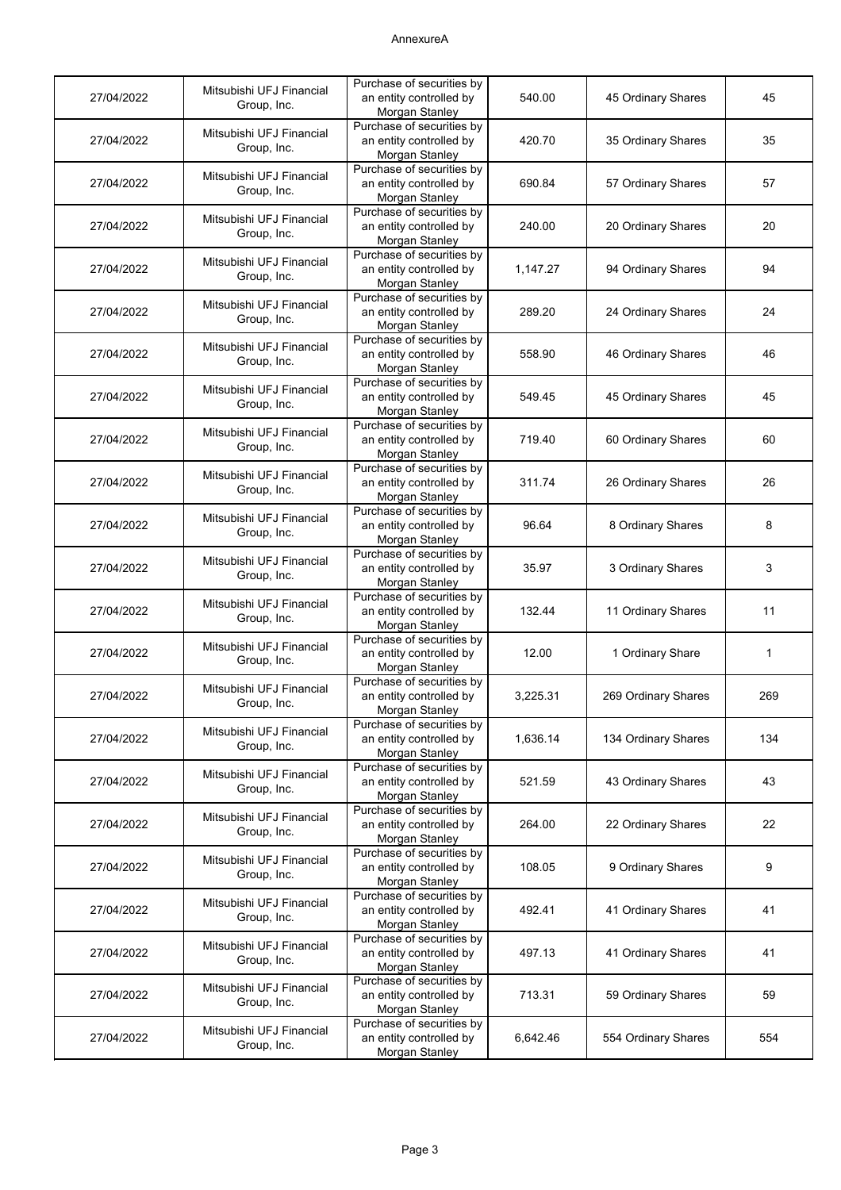# AnnexureA

| 27/04/2022 | Mitsubishi UFJ Financial<br>Group, Inc. | Purchase of securities by<br>an entity controlled by<br>Morgan Stanley | 540.00   | 45 Ordinary Shares  | 45          |
|------------|-----------------------------------------|------------------------------------------------------------------------|----------|---------------------|-------------|
| 27/04/2022 | Mitsubishi UFJ Financial<br>Group, Inc. | Purchase of securities by<br>an entity controlled by<br>Morgan Stanley | 420.70   | 35 Ordinary Shares  | 35          |
| 27/04/2022 | Mitsubishi UFJ Financial<br>Group, Inc. | Purchase of securities by<br>an entity controlled by<br>Morgan Stanley | 690.84   | 57 Ordinary Shares  | 57          |
| 27/04/2022 | Mitsubishi UFJ Financial<br>Group, Inc. | Purchase of securities by<br>an entity controlled by<br>Morgan Stanley | 240.00   | 20 Ordinary Shares  | 20          |
| 27/04/2022 | Mitsubishi UFJ Financial<br>Group, Inc. | Purchase of securities by<br>an entity controlled by<br>Morgan Stanley | 1,147.27 | 94 Ordinary Shares  | 94          |
| 27/04/2022 | Mitsubishi UFJ Financial<br>Group, Inc. | Purchase of securities by<br>an entity controlled by<br>Morgan Stanley | 289.20   | 24 Ordinary Shares  | 24          |
| 27/04/2022 | Mitsubishi UFJ Financial<br>Group, Inc. | Purchase of securities by<br>an entity controlled by<br>Morgan Stanley | 558.90   | 46 Ordinary Shares  | 46          |
| 27/04/2022 | Mitsubishi UFJ Financial<br>Group, Inc. | Purchase of securities by<br>an entity controlled by<br>Morgan Stanley | 549.45   | 45 Ordinary Shares  | 45          |
| 27/04/2022 | Mitsubishi UFJ Financial<br>Group, Inc. | Purchase of securities by<br>an entity controlled by<br>Morgan Stanley | 719.40   | 60 Ordinary Shares  | 60          |
| 27/04/2022 | Mitsubishi UFJ Financial<br>Group, Inc. | Purchase of securities by<br>an entity controlled by<br>Morgan Stanley | 311.74   | 26 Ordinary Shares  | 26          |
| 27/04/2022 | Mitsubishi UFJ Financial<br>Group, Inc. | Purchase of securities by<br>an entity controlled by<br>Morgan Stanley | 96.64    | 8 Ordinary Shares   | 8           |
| 27/04/2022 | Mitsubishi UFJ Financial<br>Group, Inc. | Purchase of securities by<br>an entity controlled by<br>Morgan Stanley | 35.97    | 3 Ordinary Shares   | 3           |
| 27/04/2022 | Mitsubishi UFJ Financial<br>Group, Inc. | Purchase of securities by<br>an entity controlled by<br>Morgan Stanley | 132.44   | 11 Ordinary Shares  | 11          |
| 27/04/2022 | Mitsubishi UFJ Financial<br>Group, Inc. | Purchase of securities by<br>an entity controlled by<br>Morgan Stanley | 12.00    | 1 Ordinary Share    | $\mathbf 1$ |
| 27/04/2022 | Mitsubishi UFJ Financial<br>Group, Inc. | Purchase of securities by<br>an entity controlled by<br>Morgan Stanley | 3,225.31 | 269 Ordinary Shares | 269         |
| 27/04/2022 | Mitsubishi UFJ Financial<br>Group, Inc. | Purchase of securities by<br>an entity controlled by<br>Morgan Stanley | 1,636.14 | 134 Ordinary Shares | 134         |
| 27/04/2022 | Mitsubishi UFJ Financial<br>Group, Inc. | Purchase of securities by<br>an entity controlled by<br>Morgan Stanley | 521.59   | 43 Ordinary Shares  | 43          |
| 27/04/2022 | Mitsubishi UFJ Financial<br>Group, Inc. | Purchase of securities by<br>an entity controlled by<br>Morgan Stanley | 264.00   | 22 Ordinary Shares  | 22          |
| 27/04/2022 | Mitsubishi UFJ Financial<br>Group, Inc. | Purchase of securities by<br>an entity controlled by<br>Morgan Stanley | 108.05   | 9 Ordinary Shares   | 9           |
| 27/04/2022 | Mitsubishi UFJ Financial<br>Group, Inc. | Purchase of securities by<br>an entity controlled by<br>Morgan Stanley | 492.41   | 41 Ordinary Shares  | 41          |
| 27/04/2022 | Mitsubishi UFJ Financial<br>Group, Inc. | Purchase of securities by<br>an entity controlled by<br>Morgan Stanley | 497.13   | 41 Ordinary Shares  | 41          |
| 27/04/2022 | Mitsubishi UFJ Financial<br>Group, Inc. | Purchase of securities by<br>an entity controlled by<br>Morgan Stanley | 713.31   | 59 Ordinary Shares  | 59          |
| 27/04/2022 | Mitsubishi UFJ Financial<br>Group, Inc. | Purchase of securities by<br>an entity controlled by<br>Morgan Stanley | 6,642.46 | 554 Ordinary Shares | 554         |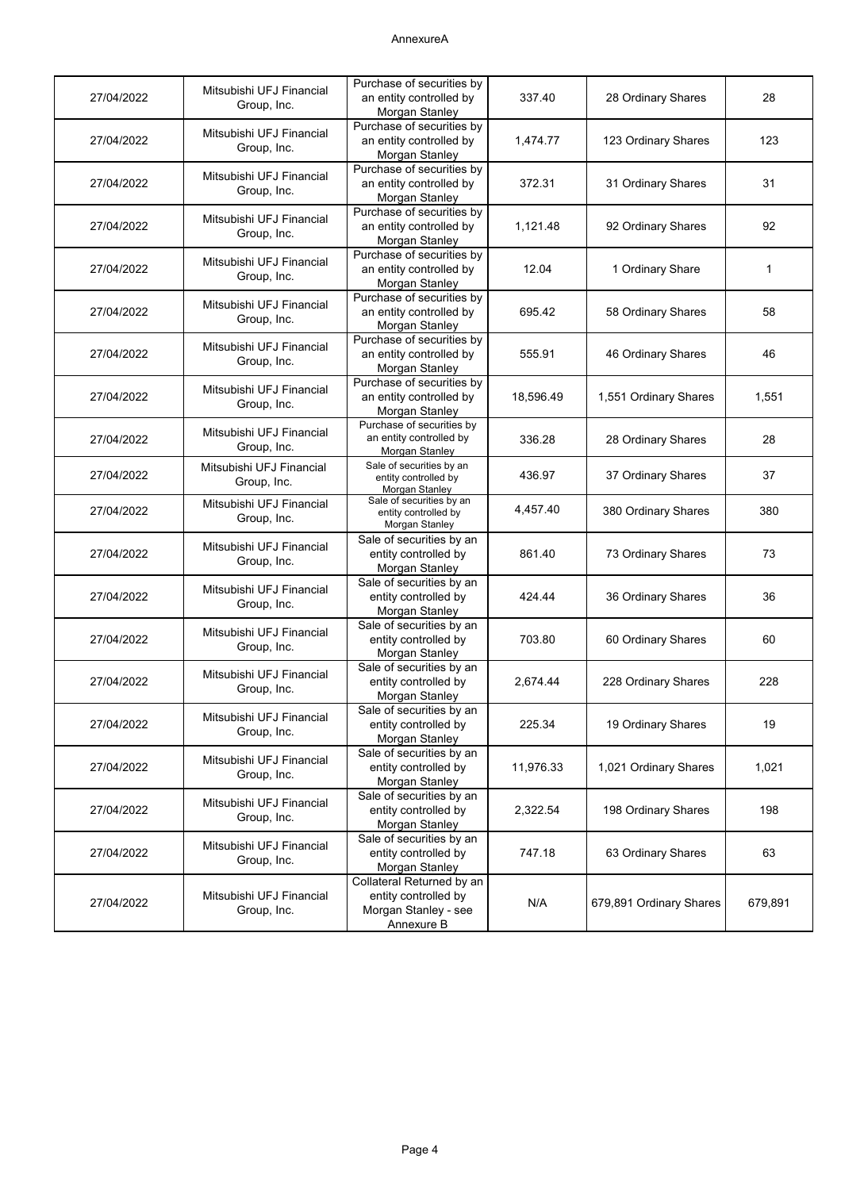# AnnexureA

| 27/04/2022 | Mitsubishi UFJ Financial<br>Group, Inc. | Purchase of securities by<br>an entity controlled by<br>Morgan Stanley                  | 337.40    | 28 Ordinary Shares      | 28          |
|------------|-----------------------------------------|-----------------------------------------------------------------------------------------|-----------|-------------------------|-------------|
| 27/04/2022 | Mitsubishi UFJ Financial<br>Group, Inc. | Purchase of securities by<br>an entity controlled by<br>Morgan Stanley                  | 1,474.77  | 123 Ordinary Shares     | 123         |
| 27/04/2022 | Mitsubishi UFJ Financial<br>Group, Inc. | Purchase of securities by<br>an entity controlled by<br>Morgan Stanley                  | 372.31    | 31 Ordinary Shares      | 31          |
| 27/04/2022 | Mitsubishi UFJ Financial<br>Group, Inc. | Purchase of securities by<br>an entity controlled by<br>Morgan Stanley                  | 1,121.48  | 92 Ordinary Shares      | 92          |
| 27/04/2022 | Mitsubishi UFJ Financial<br>Group, Inc. | Purchase of securities by<br>an entity controlled by<br>Morgan Stanley                  | 12.04     | 1 Ordinary Share        | $\mathbf 1$ |
| 27/04/2022 | Mitsubishi UFJ Financial<br>Group, Inc. | Purchase of securities by<br>an entity controlled by<br>Morgan Stanley                  | 695.42    | 58 Ordinary Shares      | 58          |
| 27/04/2022 | Mitsubishi UFJ Financial<br>Group, Inc. | Purchase of securities by<br>an entity controlled by<br>Morgan Stanley                  | 555.91    | 46 Ordinary Shares      | 46          |
| 27/04/2022 | Mitsubishi UFJ Financial<br>Group, Inc. | Purchase of securities by<br>an entity controlled by<br>Morgan Stanley                  | 18,596.49 | 1,551 Ordinary Shares   | 1,551       |
| 27/04/2022 | Mitsubishi UFJ Financial<br>Group, Inc. | Purchase of securities by<br>an entity controlled by<br><b>Morgan Stanley</b>           | 336.28    | 28 Ordinary Shares      | 28          |
| 27/04/2022 | Mitsubishi UFJ Financial<br>Group, Inc. | Sale of securities by an<br>entity controlled by<br>Morgan Stanley                      | 436.97    | 37 Ordinary Shares      | 37          |
| 27/04/2022 | Mitsubishi UFJ Financial<br>Group, Inc. | Sale of securities by an<br>entity controlled by<br>Morgan Stanley                      | 4,457.40  | 380 Ordinary Shares     | 380         |
| 27/04/2022 | Mitsubishi UFJ Financial<br>Group, Inc. | Sale of securities by an<br>entity controlled by<br>Morgan Stanley                      | 861.40    | 73 Ordinary Shares      | 73          |
| 27/04/2022 | Mitsubishi UFJ Financial<br>Group, Inc. | Sale of securities by an<br>entity controlled by<br>Morgan Stanley                      | 424.44    | 36 Ordinary Shares      | 36          |
| 27/04/2022 | Mitsubishi UFJ Financial<br>Group, Inc. | Sale of securities by an<br>entity controlled by<br>Morgan Stanley                      | 703.80    | 60 Ordinary Shares      | 60          |
| 27/04/2022 | Mitsubishi UFJ Financial<br>Group, Inc. | Sale of securities by an<br>entity controlled by<br>Morgan Stanley                      | 2,674.44  | 228 Ordinary Shares     | 228         |
| 27/04/2022 | Mitsubishi UFJ Financial<br>Group, Inc. | Sale of securities by an<br>entity controlled by<br>Morgan Stanley                      | 225.34    | 19 Ordinary Shares      | 19          |
| 27/04/2022 | Mitsubishi UFJ Financial<br>Group, Inc. | Sale of securities by an<br>entity controlled by<br>Morgan Stanley                      | 11,976.33 | 1,021 Ordinary Shares   | 1,021       |
| 27/04/2022 | Mitsubishi UFJ Financial<br>Group, Inc. | Sale of securities by an<br>entity controlled by<br>Morgan Stanley                      | 2,322.54  | 198 Ordinary Shares     | 198         |
| 27/04/2022 | Mitsubishi UFJ Financial<br>Group, Inc. | Sale of securities by an<br>entity controlled by<br>Morgan Stanley                      | 747.18    | 63 Ordinary Shares      | 63          |
| 27/04/2022 | Mitsubishi UFJ Financial<br>Group, Inc. | Collateral Returned by an<br>entity controlled by<br>Morgan Stanley - see<br>Annexure B | N/A       | 679,891 Ordinary Shares | 679,891     |